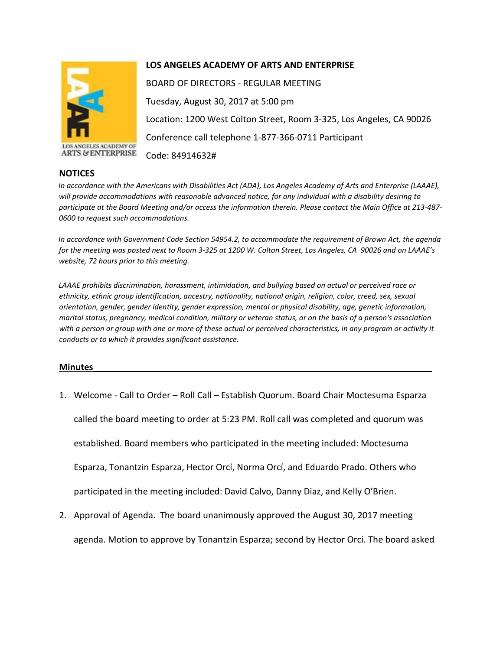

**ARTS & ENTERPRISE** 

## **NOTICES**

## **LOS ANGELES ACADEMY OF ARTS AND ENTERPRISE**

BOARD OF DIRECTORS - REGULAR MEETING Tuesday, August 30, 2017 at 5:00 pm Location: 1200 West Colton Street, Room 3-325, Los Angeles, CA 90026 Conference call telephone 1-877-366-0711 Participant Code: 84914632#

*In accordance with the Americans with Disabilities Act (ADA), Los Angeles Academy of Arts and Enterprise (LAAAE), will provide accommodations with reasonable advanced notice, for any individual with a disability desiring to participate at the Board Meeting and/or access the information therein. Please contact the Main Office at 213-487- 0600 to request such accommodations.* 

*In accordance with Government Code Section 54954.2, to accommodate the requirement of Brown Act, the agenda for the meeting was posted next to Room 3-325 at 1200 W. Colton Street, Los Angeles, CA 90026 and on LAAAE's website, 72 hours prior to this meeting.* 

*LAAAE prohibits discrimination, harassment, intimidation, and bullying based on actual or perceived race or ethnicity, ethnic group identification, ancestry, nationality, national origin, religion, color, creed, sex, sexual orientation, gender, gender identity, gender expression, mental or physical disability, age, genetic information, marital status, pregnancy, medical condition, military or veteran status, or on the basis of a person's association*  with a person or group with one or more of these actual or perceived characteristics, in any program or activity it *conducts or to which it provides significant assistance.* 

## **Minutes\_\_\_\_\_\_\_\_\_\_\_\_\_\_\_\_\_\_\_\_\_\_\_\_\_\_\_\_\_\_\_\_\_\_\_\_\_\_\_\_\_\_\_\_\_\_\_\_\_\_\_\_\_\_\_\_\_\_\_\_\_\_\_\_\_\_\_\_\_**

1. Welcome - Call to Order – Roll Call – Establish Quorum. Board Chair Moctesuma Esparza

called the board meeting to order at 5:23 PM. Roll call was completed and quorum was

established. Board members who participated in the meeting included: Moctesuma

Esparza, Tonantzin Esparza, Hector Orcí, Norma Orcí, and Eduardo Prado. Others who

participated in the meeting included: David Calvo, Danny Diaz, and Kelly O'Brien.

2. Approval of Agenda. The board unanimously approved the August 30, 2017 meeting agenda. Motion to approve by Tonantzin Esparza; second by Hector Orcí. The board asked